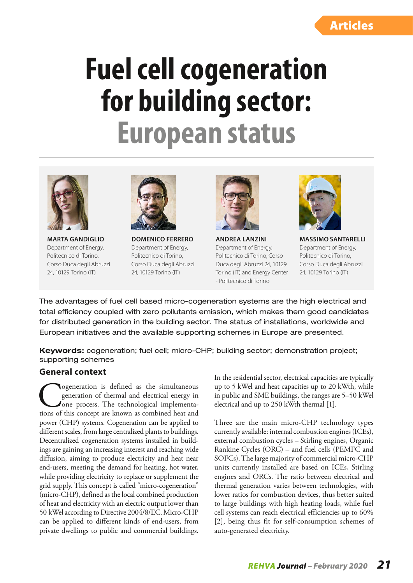# **Fuel cell cogeneration for building sector: European status**



**MARTA GANDIGLIO** Department of Energy, Politecnico di Torino, Corso Duca degli Abruzzi 24, 10129 Torino (IT)



**DOMENICO FERRERO** Department of Energy, Politecnico di Torino, Corso Duca degli Abruzzi 24, 10129 Torino (IT)



**ANDREA LANZINI** Department of Energy, Politecnico di Torino, Corso Duca degli Abruzzi 24, 10129 Torino (IT) and Energy Center - Politecnico di Torino



**MASSIMO SANTARELLI** Department of Energy, Politecnico di Torino, Corso Duca degli Abruzzi 24, 10129 Torino (IT)

The advantages of fuel cell based micro-cogeneration systems are the high electrical and total efficiency coupled with zero pollutants emission, which makes them good candidates for distributed generation in the building sector. The status of installations, worldwide and European initiatives and the available supporting schemes in Europe are presented.

Keywords: cogeneration; fuel cell; micro-CHP; building sector; demonstration project; supporting schemes

#### **General context**

Cogeneration is defined as the simultaneous generation of thermal and electrical energy in one process. The technological implementations of this concept are known as combined heat and generation of thermal and electrical energy in Jone process. The technological implementapower (CHP) systems. Cogeneration can be applied to different scales, from large centralized plants to buildings. Decentralized cogeneration systems installed in buildings are gaining an increasing interest and reaching wide diffusion, aiming to produce electricity and heat near end-users, meeting the demand for heating, hot water, while providing electricity to replace or supplement the grid supply. This concept is called "micro-cogeneration" (micro-CHP), defined as the local combined production of heat and electricity with an electric output lower than 50 kWel according to Directive 2004/8/EC. Micro-CHP can be applied to different kinds of end-users, from private dwellings to public and commercial buildings.

In the residential sector, electrical capacities are typically up to 5 kWel and heat capacities up to 20 kWth, while in public and SME buildings, the ranges are 5–50 kWel electrical and up to 250 kWth thermal [1].

Three are the main micro-CHP technology types currently available: internal combustion engines (ICEs), external combustion cycles – Stirling engines, Organic Rankine Cycles (ORC) – and fuel cells (PEMFC and SOFCs). The large majority of commercial micro-CHP units currently installed are based on ICEs, Stirling engines and ORCs. The ratio between electrical and thermal generation varies between technologies, with lower ratios for combustion devices, thus better suited to large buildings with high heating loads, while fuel cell systems can reach electrical efficiencies up to 60% [2], being thus fit for self-consumption schemes of auto-generated electricity.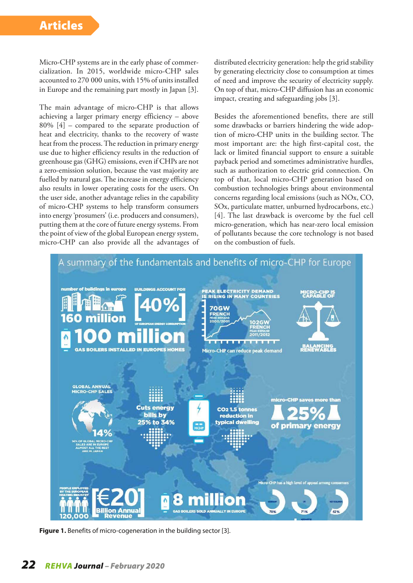Micro-CHP systems are in the early phase of commercialization. In 2015, worldwide micro-CHP sales accounted to 270 000 units, with 15% of units installed in Europe and the remaining part mostly in Japan [3].

The main advantage of micro-CHP is that allows achieving a larger primary energy efficiency – above 80% [4] – compared to the separate production of heat and electricity, thanks to the recovery of waste heat from the process. The reduction in primary energy use due to higher efficiency results in the reduction of greenhouse gas (GHG) emissions, even if CHPs are not a zero-emission solution, because the vast majority are fuelled by natural gas. The increase in energy efficiency also results in lower operating costs for the users. On the user side, another advantage relies in the capability of micro-CHP systems to help transform consumers into energy 'prosumers' (i.e. producers and consumers), putting them at the core of future energy systems. From the point of view of the global European energy system, micro-CHP can also provide all the advantages of distributed electricity generation: help the grid stability by generating electricity close to consumption at times of need and improve the security of electricity supply. On top of that, micro-CHP diffusion has an economic impact, creating and safeguarding jobs [3].

Besides the aforementioned benefits, there are still some drawbacks or barriers hindering the wide adoption of micro-CHP units in the building sector. The most important are: the high first-capital cost, the lack or limited financial support to ensure a suitable payback period and sometimes administrative hurdles, such as authorization to electric grid connection. On top of that, local micro-CHP generation based on combustion technologies brings about environmental concerns regarding local emissions (such as NOx, CO, SOx, particulate matter, unburned hydrocarbons, etc.) [4]. The last drawback is overcome by the fuel cell micro-generation, which has near-zero local emission of pollutants because the core technology is not based on the combustion of fuels.



**Figure 1.** Benefits of micro-cogeneration in the building sector [3].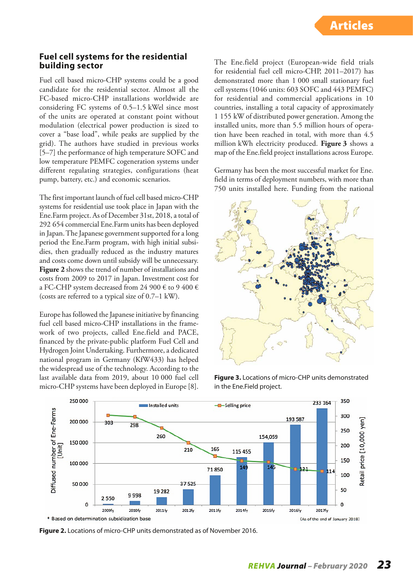#### **Fuel cell systems for the residential building sector**

Fuel cell based micro-CHP systems could be a good candidate for the residential sector. Almost all the FC-based micro-CHP installations worldwide are considering FC systems of 0.5–1.5 kWel since most of the units are operated at constant point without modulation (electrical power production is sized to cover a "base load", while peaks are supplied by the grid). The authors have studied in previous works [5–7] the performance of high temperature SOFC and low temperature PEMFC cogeneration systems under different regulating strategies, configurations (heat pump, battery, etc.) and economic scenarios.

The first important launch of fuel cell based micro-CHP systems for residential use took place in Japan with the Ene.Farm project. As of December 31st, 2018, a total of 292 654 commercial Ene.Farm units has been deployed in Japan. The Japanese government supported for a long period the Ene.Farm program, with high initial subsidies, then gradually reduced as the industry matures and costs come down until subsidy will be unnecessary. **Figure 2** shows the trend of number of installations and costs from 2009 to 2017 in Japan. Investment cost for a FC-CHP system decreased from 24 900  $\epsilon$  to 9 400  $\epsilon$ (costs are referred to a typical size of 0.7–1 kW).

Europe has followed the Japanese initiative by financing fuel cell based micro-CHP installations in the framework of two projects, called Ene.field and PACE, financed by the private-public platform Fuel Cell and Hydrogen Joint Undertaking. Furthermore, a dedicated national program in Germany (KfW433) has helped the widespread use of the technology. According to the last available data from 2019, about 10 000 fuel cell micro-CHP systems have been deployed in Europe [8].

The Ene.field project (European-wide field trials for residential fuel cell micro-CHP, 2011–2017) has demonstrated more than 1 000 small stationary fuel cell systems (1046 units: 603 SOFC and 443 PEMFC) for residential and commercial applications in 10 countries, installing a total capacity of approximately 1 155 kW of distributed power generation. Among the installed units, more than 5.5 million hours of operation have been reached in total, with more than 4.5 million kWh electricity produced. **Figure 3** shows a map of the Ene.field project installations across Europe.

Germany has been the most successful market for Ene. field in terms of deployment numbers, with more than 750 units installed here. Funding from the national



**Figure 3.** Locations of micro-CHP units demonstrated in the Ene.Field project.



**Figure 2.** Locations of micro-CHP units demonstrated as of November 2016.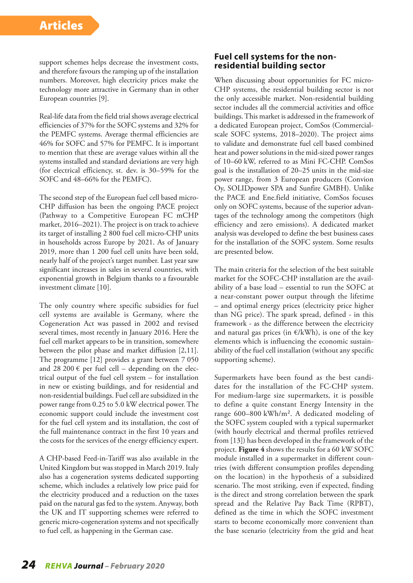support schemes helps decrease the investment costs, and therefore favours the ramping up of the installation numbers. Moreover, high electricity prices make the technology more attractive in Germany than in other European countries [9].

Real-life data from the field trial shows average electrical efficiencies of 37% for the SOFC systems and 32% for the PEMFC systems. Average thermal efficiencies are 46% for SOFC and 57% for PEMFC. It is important to mention that these are average values within all the systems installed and standard deviations are very high (for electrical efficiency, st. dev. is 30–59% for the SOFC and 48–66% for the PEMFC).

The second step of the European fuel cell based micro-CHP diffusion has been the ongoing PACE project (Pathway to a Competitive European FC mCHP market, 2016–2021). The project is on track to achieve its target of installing 2 800 fuel cell micro-CHP units in households across Europe by 2021. As of January 2019, more than 1 200 fuel cell units have been sold, nearly half of the project's target number. Last year saw significant increases in sales in several countries, with exponential growth in Belgium thanks to a favourable investment climate [10].

The only country where specific subsidies for fuel cell systems are available is Germany, where the Cogeneration Act was passed in 2002 and revised several times, most recently in January 2016. Here the fuel cell market appears to be in transition, somewhere between the pilot phase and market diffusion [2,11]. The programme [12] provides a grant between 7 050 and 28 200  $\epsilon$  per fuel cell – depending on the electrical output of the fuel cell system – for installation in new or existing buildings, and for residential and non-residential buildings. Fuel cell are subsidized in the power range from 0.25 to 5.0 kW electrical power. The economic support could include the investment cost for the fuel cell system and its installation, the cost of the full maintenance contract in the first 10 years and the costs for the services of the energy efficiency expert.

A CHP-based Feed-in-Tariff was also available in the United Kingdom but was stopped in March 2019. Italy also has a cogeneration systems dedicated supporting scheme, which includes a relatively low price paid for the electricity produced and a reduction on the taxes paid on the natural gas fed to the system. Anyway, both the UK and IT supporting schemes were referred to generic micro-cogeneration systems and not specifically to fuel cell, as happening in the German case.

#### **Fuel cell systems for the nonresidential building sector**

When discussing about opportunities for FC micro-CHP systems, the residential building sector is not the only accessible market. Non-residential building sector includes all the commercial activities and office buildings. This market is addressed in the framework of a dedicated European project, ComSos (Commercialscale SOFC systems, 2018–2020). The project aims to validate and demonstrate fuel cell based combined heat and power solutions in the mid-sized power ranges of 10–60 kW, referred to as Mini FC-CHP. ComSos goal is the installation of 20–25 units in the mid-size power range, from 3 European producers (Convion Oy, SOLIDpower SPA and Sunfire GMBH). Unlike the PACE and Ene.field initiative, ComSos focuses only on SOFC systems, because of the superior advantages of the technology among the competitors (high efficiency and zero emissions). A dedicated market analysis was developed to define the best business cases for the installation of the SOFC system. Some results are presented below.

The main criteria for the selection of the best suitable market for the SOFC-CHP installation are the availability of a base load – essential to run the SOFC at a near-constant power output through the lifetime – and optimal energy prices (electricity price higher than NG price). The spark spread, defined - in this framework - as the difference between the electricity and natural gas prices (in  $E/kWh$ ), is one of the key elements which is influencing the economic sustainability of the fuel cell installation (without any specific supporting scheme).

Supermarkets have been found as the best candidates for the installation of the FC-CHP system. For medium-large size supermarkets, it is possible to define a quite constant Energy Intensity in the range 600–800 kWh/m². A dedicated modeling of the SOFC system coupled with a typical supermarket (with hourly electrical and thermal profiles retrieved from [13]) has been developed in the framework of the project. **Figure 4** shows the results for a 60 kW SOFC module installed in a supermarket in different countries (with different consumption profiles depending on the location) in the hypothesis of a subsidized scenario. The most striking, even if expected, finding is the direct and strong correlation between the spark spread and the Relative Pay Back Time (RPBT), defined as the time in which the SOFC investment starts to become economically more convenient than the base scenario (electricity from the grid and heat